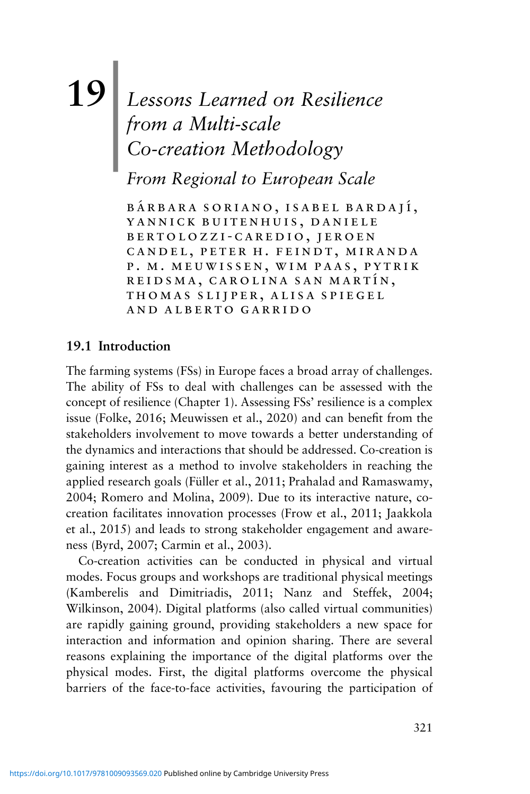# **19**| *Lessons Learned on Resilience from a Multi-scale Co-creation Methodology*

*From Regional to European Scale*

BÁRBARA SORIANO, ISABEL BARDAJÍ, yannick buitenhuis, daniele bertolozzi-caredio, jeroen candel, peter h. feindt, miranda p. m. meuwissen, wim paas, pytrik REIDSMA, CAROLINA SAN MARTÍN, thomas slijper, alisa spiegel and alberto garrido

## **19.1 Introduction**

The farming systems (FSs) in Europe faces a broad array of challenges. The ability of FSs to deal with challenges can be assessed with the concept of resilience (Chapter 1). Assessing FSs' resilience is a complex issue (Folke, 2016; Meuwissen et al., 2020) and can benefit from the stakeholders involvement to move towards a better understanding of the dynamics and interactions that should be addressed. Co-creation is gaining interest as a method to involve stakeholders in reaching the applied research goals (Füller et al., 2011; Prahalad and Ramaswamy, 2004; Romero and Molina, 2009). Due to its interactive nature, cocreation facilitates innovation processes (Frow et al., 2011; Jaakkola et al., 2015) and leads to strong stakeholder engagement and awareness (Byrd, 2007; Carmin et al., 2003).

Co-creation activities can be conducted in physical and virtual modes. Focus groups and workshops are traditional physical meetings (Kamberelis and Dimitriadis, 2011; Nanz and Steffek, 2004; Wilkinson, 2004). Digital platforms (also called virtual communities) are rapidly gaining ground, providing stakeholders a new space for interaction and information and opinion sharing. There are several reasons explaining the importance of the digital platforms over the physical modes. First, the digital platforms overcome the physical barriers of the face-to-face activities, favouring the participation of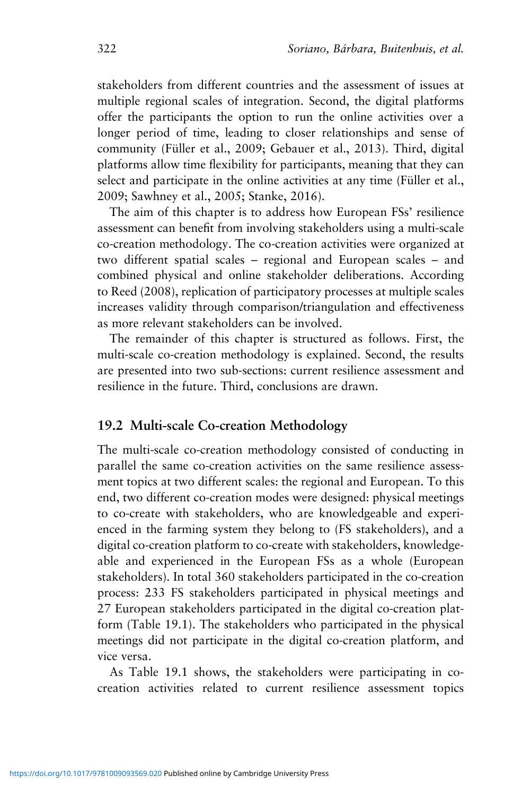stakeholders from different countries and the assessment of issues at multiple regional scales of integration. Second, the digital platforms offer the participants the option to run the online activities over a longer period of time, leading to closer relationships and sense of community (Füller et al., 2009; Gebauer et al., 2013). Third, digital platforms allow time flexibility for participants, meaning that they can select and participate in the online activities at any time (Füller et al., 2009; Sawhney et al., 2005; Stanke, 2016).

The aim of this chapter is to address how European FSs' resilience assessment can benefit from involving stakeholders using a multi-scale co-creation methodology. The co-creation activities were organized at two different spatial scales – regional and European scales – and combined physical and online stakeholder deliberations. According to Reed (2008), replication of participatory processes at multiple scales increases validity through comparison/triangulation and effectiveness as more relevant stakeholders can be involved.

The remainder of this chapter is structured as follows. First, the multi-scale co-creation methodology is explained. Second, the results are presented into two sub-sections: current resilience assessment and resilience in the future. Third, conclusions are drawn.

## **19.2 Multi-scale Co-creation Methodology**

The multi-scale co-creation methodology consisted of conducting in parallel the same co-creation activities on the same resilience assessment topics at two different scales: the regional and European. To this end, two different co-creation modes were designed: physical meetings to co-create with stakeholders, who are knowledgeable and experienced in the farming system they belong to (FS stakeholders), and a digital co-creation platform to co-create with stakeholders, knowledgeable and experienced in the European FSs as a whole (European stakeholders). In total 360 stakeholders participated in the co-creation process: 233 FS stakeholders participated in physical meetings and 27 European stakeholders participated in the digital co-creation platform (Table 19.1). The stakeholders who participated in the physical meetings did not participate in the digital co-creation platform, and vice versa.

As Table 19.1 shows, the stakeholders were participating in cocreation activities related to current resilience assessment topics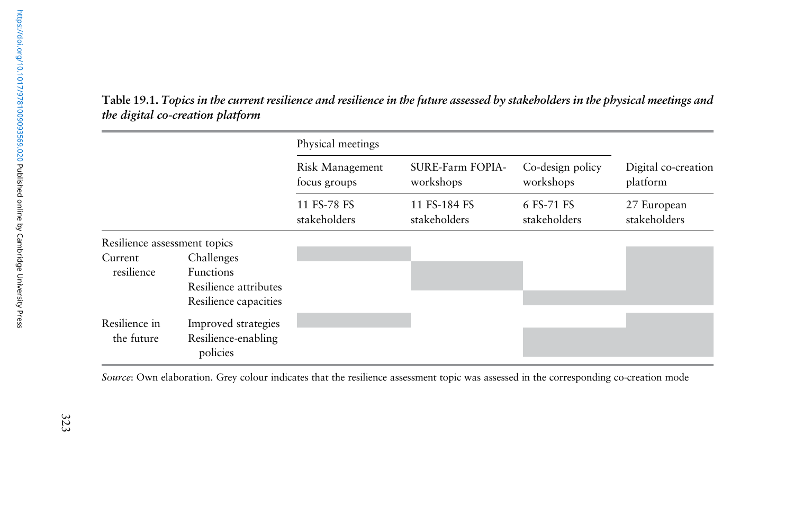Table 19.1. Topics in the current resilience and resilience in the future assessed by stakeholders in the physical meetings and *the digital co-creation platform*

|                              |                                                                                  | Physical meetings               |                               |                               |                                 |
|------------------------------|----------------------------------------------------------------------------------|---------------------------------|-------------------------------|-------------------------------|---------------------------------|
|                              |                                                                                  | Risk Management<br>focus groups | SURE-Farm FOPIA-<br>workshops | Co-design policy<br>workshops | Digital co-creation<br>platform |
|                              |                                                                                  | 11 FS-78 FS<br>stakeholders     | 11 FS-184 FS<br>stakeholders  | 6 FS-71 FS<br>stakeholders    | 27 European<br>stakeholders     |
| Resilience assessment topics |                                                                                  |                                 |                               |                               |                                 |
| Current<br>resilience        | Challenges<br><b>Functions</b><br>Resilience attributes<br>Resilience capacities |                                 |                               |                               |                                 |
| Resilience in<br>the future  | Improved strategies<br>Resilience-enabling<br>policies                           |                                 |                               |                               |                                 |

*Source*: Own elaboration. Grey colour indicates that the resilience assessment topic was assessed in the corresponding co-creation mode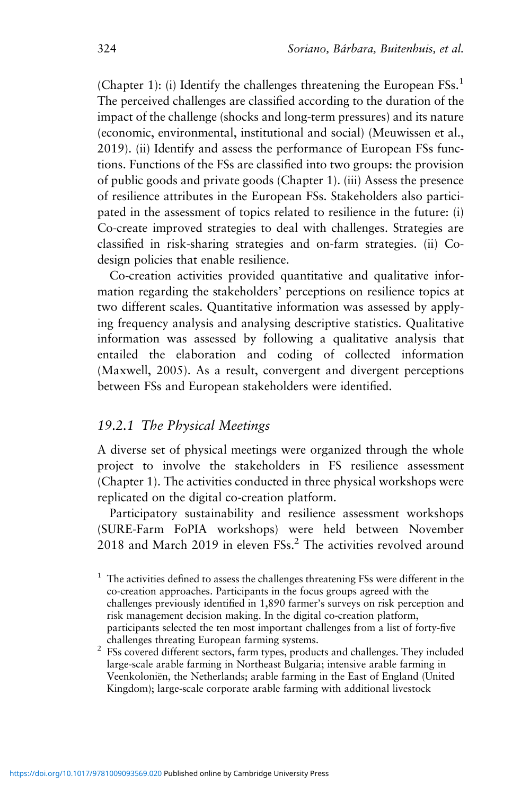(Chapter 1): (i) Identify the challenges threatening the European  $FSS<sup>1</sup>$ The perceived challenges are classified according to the duration of the impact of the challenge (shocks and long-term pressures) and its nature (economic, environmental, institutional and social) (Meuwissen et al., 2019). (ii) Identify and assess the performance of European FSs functions. Functions of the FSs are classified into two groups: the provision of public goods and private goods (Chapter 1). (iii) Assess the presence of resilience attributes in the European FSs. Stakeholders also participated in the assessment of topics related to resilience in the future: (i) Co-create improved strategies to deal with challenges. Strategies are classified in risk-sharing strategies and on-farm strategies. (ii) Codesign policies that enable resilience.

Co-creation activities provided quantitative and qualitative information regarding the stakeholders' perceptions on resilience topics at two different scales. Quantitative information was assessed by applying frequency analysis and analysing descriptive statistics. Qualitative information was assessed by following a qualitative analysis that entailed the elaboration and coding of collected information (Maxwell, 2005). As a result, convergent and divergent perceptions between FSs and European stakeholders were identified.

## *19.2.1 The Physical Meetings*

A diverse set of physical meetings were organized through the whole project to involve the stakeholders in FS resilience assessment (Chapter 1). The activities conducted in three physical workshops were replicated on the digital co-creation platform.

Participatory sustainability and resilience assessment workshops (SURE-Farm FoPIA workshops) were held between November  $2018$  and March  $2019$  in eleven  $FSS<sup>2</sup>$ . The activities revolved around

 $1$  The activities defined to assess the challenges threatening FSs were different in the co-creation approaches. Participants in the focus groups agreed with the challenges previously identified in 1,890 farmer's surveys on risk perception and risk management decision making. In the digital co-creation platform, participants selected the ten most important challenges from a list of forty-five

challenges threating European farming systems.  $\frac{2}{\pi}$  FSs covered different sectors, farm types, products and challenges. They included large-scale arable farming in Northeast Bulgaria; intensive arable farming in Veenkoloniën, the Netherlands; arable farming in the East of England (United Kingdom); large-scale corporate arable farming with additional livestock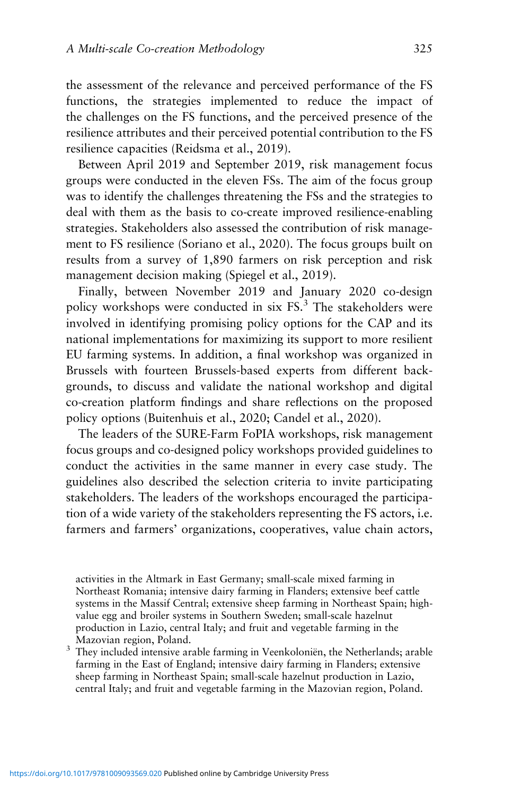the assessment of the relevance and perceived performance of the FS functions, the strategies implemented to reduce the impact of the challenges on the FS functions, and the perceived presence of the resilience attributes and their perceived potential contribution to the FS resilience capacities (Reidsma et al., 2019).

Between April 2019 and September 2019, risk management focus groups were conducted in the eleven FSs. The aim of the focus group was to identify the challenges threatening the FSs and the strategies to deal with them as the basis to co-create improved resilience-enabling strategies. Stakeholders also assessed the contribution of risk management to FS resilience (Soriano et al., 2020). The focus groups built on results from a survey of 1,890 farmers on risk perception and risk management decision making (Spiegel et al., 2019).

Finally, between November 2019 and January 2020 co-design policy workshops were conducted in six FS.<sup>3</sup> The stakeholders were involved in identifying promising policy options for the CAP and its national implementations for maximizing its support to more resilient EU farming systems. In addition, a final workshop was organized in Brussels with fourteen Brussels-based experts from different backgrounds, to discuss and validate the national workshop and digital co-creation platform findings and share reflections on the proposed policy options (Buitenhuis et al., 2020; Candel et al., 2020).

The leaders of the SURE-Farm FoPIA workshops, risk management focus groups and co-designed policy workshops provided guidelines to conduct the activities in the same manner in every case study. The guidelines also described the selection criteria to invite participating stakeholders. The leaders of the workshops encouraged the participation of a wide variety of the stakeholders representing the FS actors, i.e. farmers and farmers' organizations, cooperatives, value chain actors,

activities in the Altmark in East Germany; small-scale mixed farming in Northeast Romania; intensive dairy farming in Flanders; extensive beef cattle systems in the Massif Central; extensive sheep farming in Northeast Spain; highvalue egg and broiler systems in Southern Sweden; small-scale hazelnut production in Lazio, central Italy; and fruit and vegetable farming in the Mazovian region, Poland.  $3$  They included intensive arable farming in Veenkoloniën, the Netherlands; arable

farming in the East of England; intensive dairy farming in Flanders; extensive sheep farming in Northeast Spain; small-scale hazelnut production in Lazio, central Italy; and fruit and vegetable farming in the Mazovian region, Poland.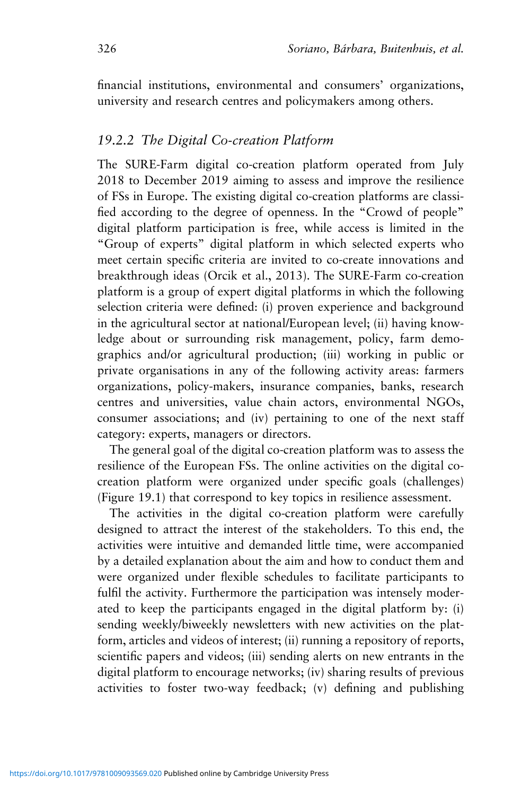financial institutions, environmental and consumers' organizations, university and research centres and policymakers among others.

## *19.2.2 The Digital Co-creation Platform*

The SURE-Farm digital co-creation platform operated from July 2018 to December 2019 aiming to assess and improve the resilience of FSs in Europe. The existing digital co-creation platforms are classified according to the degree of openness. In the "Crowd of people" digital platform participation is free, while access is limited in the "Group of experts" digital platform in which selected experts who meet certain specific criteria are invited to co-create innovations and breakthrough ideas (Orcik et al., 2013). The SURE-Farm co-creation platform is a group of expert digital platforms in which the following selection criteria were defined: (i) proven experience and background in the agricultural sector at national/European level; (ii) having knowledge about or surrounding risk management, policy, farm demographics and/or agricultural production; (iii) working in public or private organisations in any of the following activity areas: farmers organizations, policy-makers, insurance companies, banks, research centres and universities, value chain actors, environmental NGOs, consumer associations; and (iv) pertaining to one of the next staff category: experts, managers or directors.

The general goal of the digital co-creation platform was to assess the resilience of the European FSs. The online activities on the digital cocreation platform were organized under specific goals (challenges) (Figure 19.1) that correspond to key topics in resilience assessment.

The activities in the digital co-creation platform were carefully designed to attract the interest of the stakeholders. To this end, the activities were intuitive and demanded little time, were accompanied by a detailed explanation about the aim and how to conduct them and were organized under flexible schedules to facilitate participants to fulfil the activity. Furthermore the participation was intensely moderated to keep the participants engaged in the digital platform by: (i) sending weekly/biweekly newsletters with new activities on the platform, articles and videos of interest; (ii) running a repository of reports, scientific papers and videos; (iii) sending alerts on new entrants in the digital platform to encourage networks; (iv) sharing results of previous activities to foster two-way feedback; (v) defining and publishing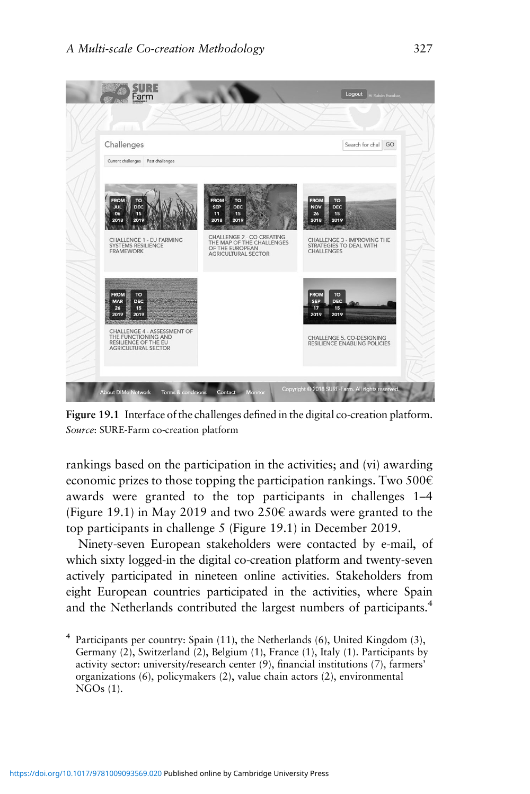

**Figure 19.1** Interface of the challenges defined in the digital co-creation platform. *Source*: SURE-Farm co-creation platform

rankings based on the participation in the activities; and (vi) awarding economic prizes to those topping the participation rankings. Two  $500 \in$ awards were granted to the top participants in challenges 1–4 (Figure 19.1) in May 2019 and two 250 $\epsilon$  awards were granted to the top participants in challenge 5 (Figure 19.1) in December 2019.

Ninety-seven European stakeholders were contacted by e-mail, of which sixty logged-in the digital co-creation platform and twenty-seven actively participated in nineteen online activities. Stakeholders from eight European countries participated in the activities, where Spain and the Netherlands contributed the largest numbers of participants.<sup>4</sup>

 $4$  Participants per country: Spain (11), the Netherlands (6), United Kingdom (3), Germany (2), Switzerland (2), Belgium (1), France (1), Italy (1). Participants by activity sector: university/research center (9), financial institutions (7), farmers' organizations (6), policymakers (2), value chain actors (2), environmental NGOs (1).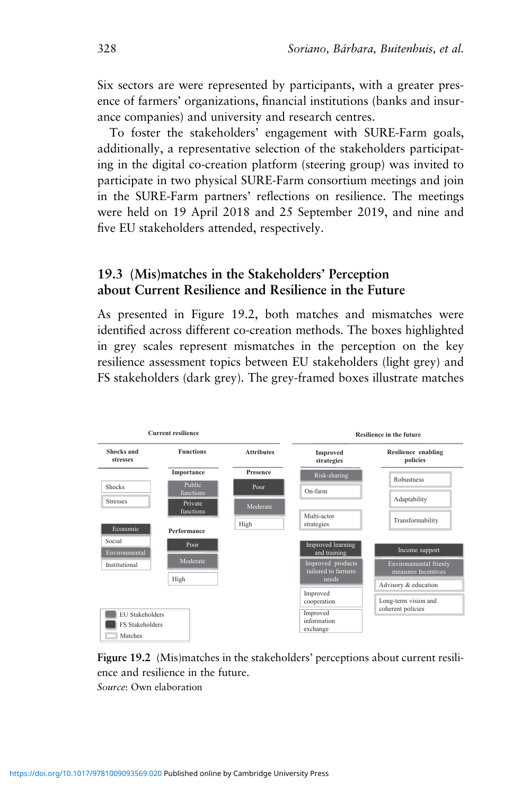Six sectors are were represented by participants, with a greater presence of farmers' organizations, financial institutions (banks and insurance companies) and university and research centres.

To foster the stakeholders' engagement with SURE-Farm goals, additionally, a representative selection of the stakeholders participating in the digital co-creation platform (steering group) was invited to participate in two physical SURE-Farm consortium meetings and join in the SURE-Farm partners' reflections on resilience. The meetings were held on 19 April 2018 and 25 September 2019, and nine and five EU stakeholders attended, respectively.

## **19.3 (Mis)matches in the Stakeholders' Perception about Current Resilience and Resilience in the Future**

As presented in Figure 19.2, both matches and mismatches were identified across different co-creation methods. The boxes highlighted in grey scales represent mismatches in the perception on the key resilience assessment topics between EU stakeholders (light grey) and FS stakeholders (dark grey). The grey-framed boxes illustrate matches



**Figure 19.2** (Mis)matches in the stakeholders' perceptions about current resilience and resilience in the future. *Source*: Own elaboration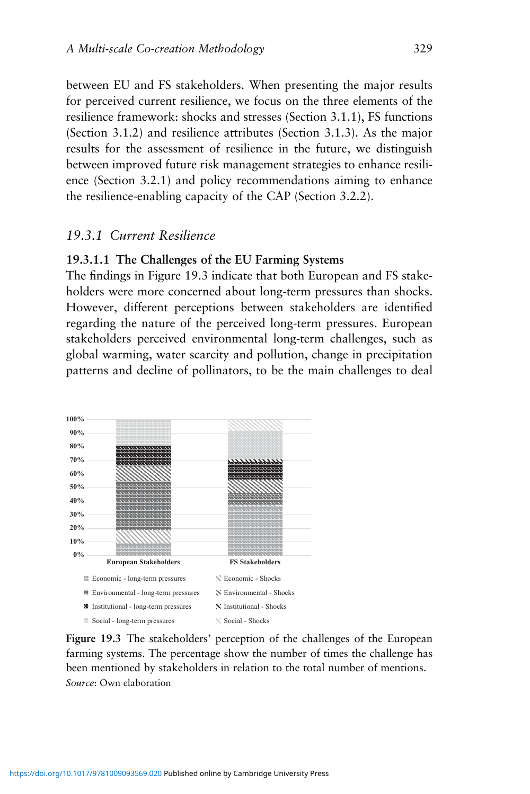between EU and FS stakeholders. When presenting the major results for perceived current resilience, we focus on the three elements of the resilience framework: shocks and stresses (Section 3.1.1), FS functions (Section 3.1.2) and resilience attributes (Section 3.1.3). As the major results for the assessment of resilience in the future, we distinguish between improved future risk management strategies to enhance resilience (Section 3.2.1) and policy recommendations aiming to enhance the resilience-enabling capacity of the CAP (Section 3.2.2).

## *19.3.1 Current Resilience*

#### **19.3.1.1 The Challenges of the EU Farming Systems**

The findings in Figure 19.3 indicate that both European and FS stakeholders were more concerned about long-term pressures than shocks. However, different perceptions between stakeholders are identified regarding the nature of the perceived long-term pressures. European stakeholders perceived environmental long-term challenges, such as global warming, water scarcity and pollution, change in precipitation patterns and decline of pollinators, to be the main challenges to deal



**Figure 19.3** The stakeholders' perception of the challenges of the European farming systems. The percentage show the number of times the challenge has been mentioned by stakeholders in relation to the total number of mentions. *Source*: Own elaboration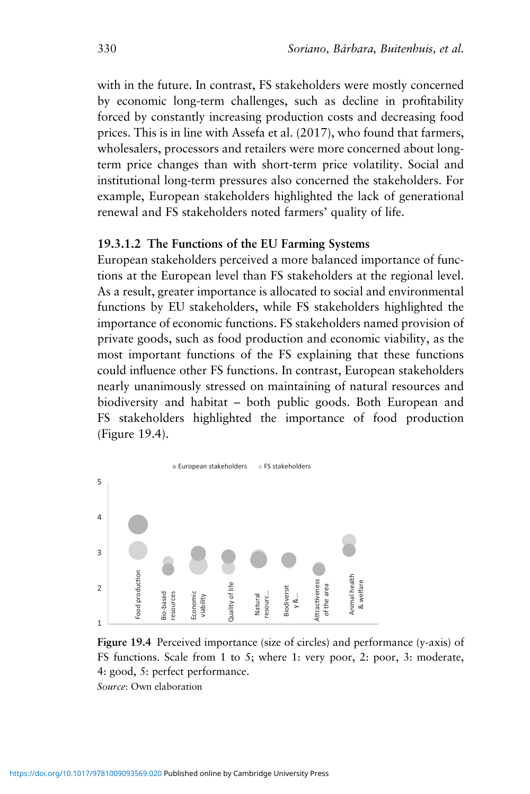with in the future. In contrast, FS stakeholders were mostly concerned by economic long-term challenges, such as decline in profitability forced by constantly increasing production costs and decreasing food prices. This is in line with Assefa et al. (2017), who found that farmers, wholesalers, processors and retailers were more concerned about longterm price changes than with short-term price volatility. Social and institutional long-term pressures also concerned the stakeholders. For example, European stakeholders highlighted the lack of generational renewal and FS stakeholders noted farmers' quality of life.

#### **19.3.1.2 The Functions of the EU Farming Systems**

European stakeholders perceived a more balanced importance of functions at the European level than FS stakeholders at the regional level. As a result, greater importance is allocated to social and environmental functions by EU stakeholders, while FS stakeholders highlighted the importance of economic functions. FS stakeholders named provision of private goods, such as food production and economic viability, as the most important functions of the FS explaining that these functions could influence other FS functions. In contrast, European stakeholders nearly unanimously stressed on maintaining of natural resources and biodiversity and habitat – both public goods. Both European and FS stakeholders highlighted the importance of food production (Figure 19.4).



**Figure 19.4** Perceived importance (size of circles) and performance (y-axis) of FS functions. Scale from 1 to 5; where 1: very poor, 2: poor, 3: moderate, 4: good, 5: perfect performance.

*Source*: Own elaboration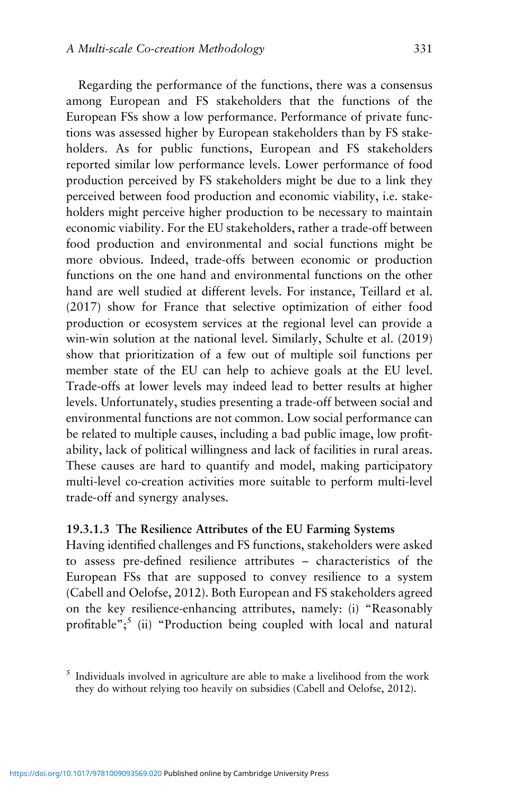Regarding the performance of the functions, there was a consensus among European and FS stakeholders that the functions of the European FSs show a low performance. Performance of private functions was assessed higher by European stakeholders than by FS stakeholders. As for public functions, European and FS stakeholders reported similar low performance levels. Lower performance of food production perceived by FS stakeholders might be due to a link they perceived between food production and economic viability, i.e. stakeholders might perceive higher production to be necessary to maintain economic viability. For the EU stakeholders, rather a trade-off between food production and environmental and social functions might be more obvious. Indeed, trade-offs between economic or production functions on the one hand and environmental functions on the other hand are well studied at different levels. For instance, Teillard et al. (2017) show for France that selective optimization of either food production or ecosystem services at the regional level can provide a win-win solution at the national level. Similarly, Schulte et al. (2019) show that prioritization of a few out of multiple soil functions per member state of the EU can help to achieve goals at the EU level. Trade-offs at lower levels may indeed lead to better results at higher levels. Unfortunately, studies presenting a trade-off between social and environmental functions are not common. Low social performance can be related to multiple causes, including a bad public image, low profitability, lack of political willingness and lack of facilities in rural areas. These causes are hard to quantify and model, making participatory multi-level co-creation activities more suitable to perform multi-level trade-off and synergy analyses.

#### **19.3.1.3 The Resilience Attributes of the EU Farming Systems**

Having identified challenges and FS functions, stakeholders were asked to assess pre-defined resilience attributes – characteristics of the European FSs that are supposed to convey resilience to a system (Cabell and Oelofse, 2012). Both European and FS stakeholders agreed on the key resilience-enhancing attributes, namely: (i) "Reasonably profitable";<sup>5</sup> (ii) "Production being coupled with local and natural

 $<sup>5</sup>$  Individuals involved in agriculture are able to make a livelihood from the work</sup> they do without relying too heavily on subsidies (Cabell and Oelofse, 2012).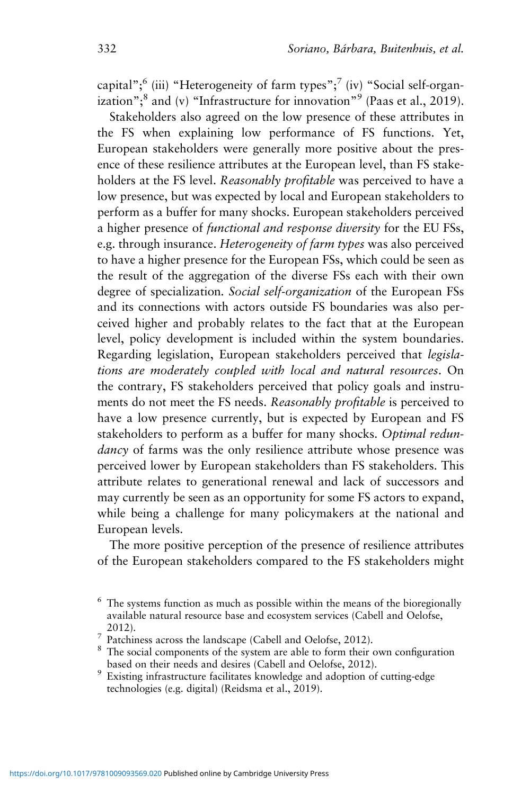capital";<sup>6</sup> (iii) "Heterogeneity of farm types";<sup>7</sup> (iv) "Social self-organization";<sup>8</sup> and (v) "Infrastructure for innovation"<sup>9</sup> (Paas et al., 2019).

Stakeholders also agreed on the low presence of these attributes in the FS when explaining low performance of FS functions. Yet, European stakeholders were generally more positive about the presence of these resilience attributes at the European level, than FS stakeholders at the FS level. *Reasonably profitable* was perceived to have a low presence, but was expected by local and European stakeholders to perform as a buffer for many shocks. European stakeholders perceived a higher presence of *functional and response diversity* for the EU FSs, e.g. through insurance. *Heterogeneity of farm types* was also perceived to have a higher presence for the European FSs, which could be seen as the result of the aggregation of the diverse FSs each with their own degree of specialization*. Social self-organization* of the European FSs and its connections with actors outside FS boundaries was also perceived higher and probably relates to the fact that at the European level, policy development is included within the system boundaries. Regarding legislation, European stakeholders perceived that *legislations are moderately coupled with local and natural resources*. On the contrary, FS stakeholders perceived that policy goals and instruments do not meet the FS needs. *Reasonably profitable* is perceived to have a low presence currently, but is expected by European and FS stakeholders to perform as a buffer for many shocks. *Optimal redundancy* of farms was the only resilience attribute whose presence was perceived lower by European stakeholders than FS stakeholders. This attribute relates to generational renewal and lack of successors and may currently be seen as an opportunity for some FS actors to expand, while being a challenge for many policymakers at the national and European levels.

The more positive perception of the presence of resilience attributes of the European stakeholders compared to the FS stakeholders might

 $6$  The systems function as much as possible within the means of the bioregionally available natural resource base and ecosystem services (Cabell and Oelofse, 2012).<br><sup>7</sup> Patchiness across the landscape (Cabell and Oelofse, 2012).<br><sup>8</sup> The social components of the system are able to form their own configuration

based on their needs and desires (Cabell and Oelofse, 2012).<br>Existing infrastructure facilitates knowledge and adoption of cutting-edge

technologies (e.g. digital) (Reidsma et al., 2019).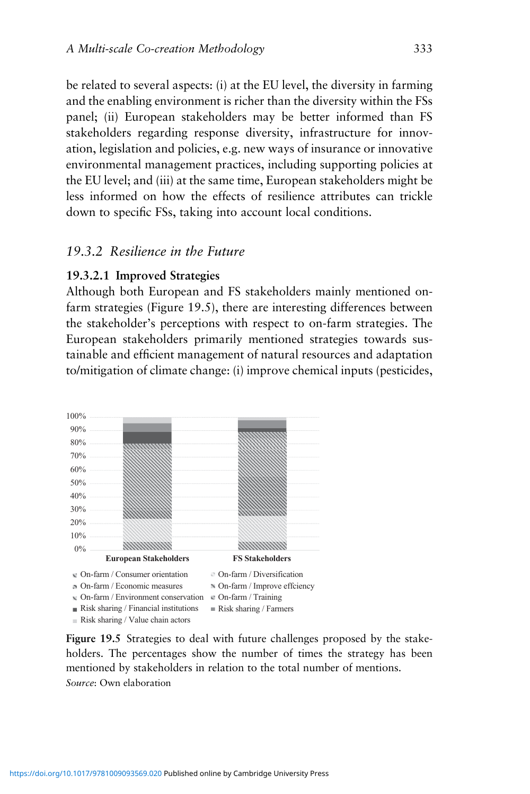be related to several aspects: (i) at the EU level, the diversity in farming and the enabling environment is richer than the diversity within the FSs panel; (ii) European stakeholders may be better informed than FS stakeholders regarding response diversity, infrastructure for innovation, legislation and policies, e.g. new ways of insurance or innovative environmental management practices, including supporting policies at the EU level; and (iii) at the same time, European stakeholders might be less informed on how the effects of resilience attributes can trickle down to specific FSs, taking into account local conditions.

## *19.3.2 Resilience in the Future*

#### **19.3.2.1 Improved Strategies**

Although both European and FS stakeholders mainly mentioned onfarm strategies (Figure 19.5), there are interesting differences between the stakeholder's perceptions with respect to on-farm strategies. The European stakeholders primarily mentioned strategies towards sustainable and efficient management of natural resources and adaptation to/mitigation of climate change: (i) improve chemical inputs (pesticides,



**Figure 19.5** Strategies to deal with future challenges proposed by the stakeholders. The percentages show the number of times the strategy has been mentioned by stakeholders in relation to the total number of mentions. *Source*: Own elaboration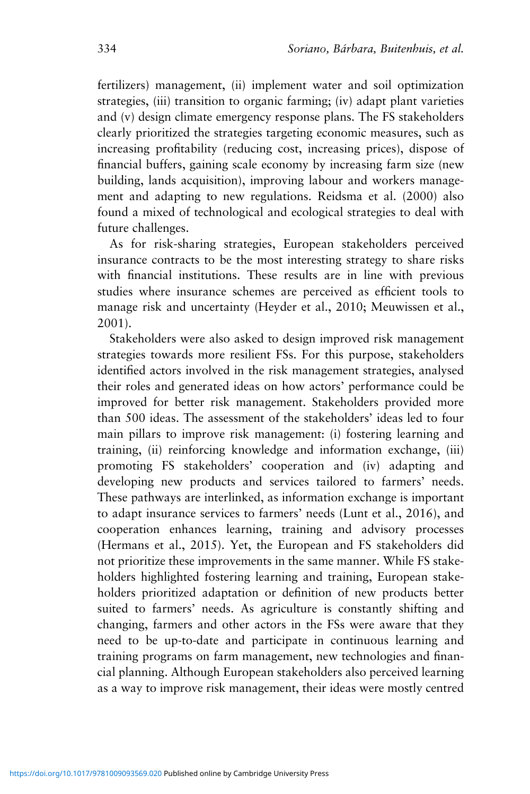fertilizers) management, (ii) implement water and soil optimization strategies, (iii) transition to organic farming; (iv) adapt plant varieties and (v) design climate emergency response plans. The FS stakeholders clearly prioritized the strategies targeting economic measures, such as increasing profitability (reducing cost, increasing prices), dispose of financial buffers, gaining scale economy by increasing farm size (new building, lands acquisition), improving labour and workers management and adapting to new regulations. Reidsma et al. (2000) also found a mixed of technological and ecological strategies to deal with future challenges.

As for risk-sharing strategies, European stakeholders perceived insurance contracts to be the most interesting strategy to share risks with financial institutions. These results are in line with previous studies where insurance schemes are perceived as efficient tools to manage risk and uncertainty (Heyder et al., 2010; Meuwissen et al., 2001).

Stakeholders were also asked to design improved risk management strategies towards more resilient FSs. For this purpose, stakeholders identified actors involved in the risk management strategies, analysed their roles and generated ideas on how actors' performance could be improved for better risk management. Stakeholders provided more than 500 ideas. The assessment of the stakeholders' ideas led to four main pillars to improve risk management: (i) fostering learning and training, (ii) reinforcing knowledge and information exchange, (iii) promoting FS stakeholders' cooperation and (iv) adapting and developing new products and services tailored to farmers' needs. These pathways are interlinked, as information exchange is important to adapt insurance services to farmers' needs (Lunt et al., 2016), and cooperation enhances learning, training and advisory processes (Hermans et al., 2015). Yet, the European and FS stakeholders did not prioritize these improvements in the same manner. While FS stakeholders highlighted fostering learning and training, European stakeholders prioritized adaptation or definition of new products better suited to farmers' needs. As agriculture is constantly shifting and changing, farmers and other actors in the FSs were aware that they need to be up-to-date and participate in continuous learning and training programs on farm management, new technologies and financial planning. Although European stakeholders also perceived learning as a way to improve risk management, their ideas were mostly centred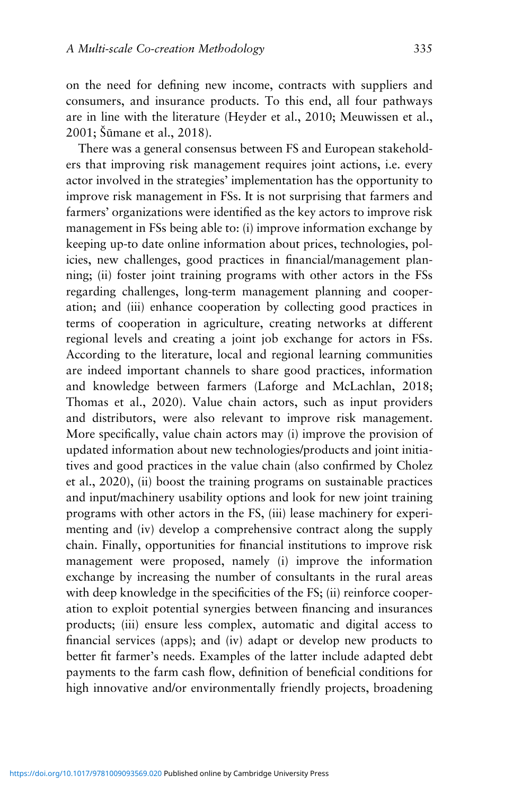on the need for defining new income, contracts with suppliers and consumers, and insurance products. To this end, all four pathways are in line with the literature (Heyder et al., 2010; Meuwissen et al., 2001; Šūmane et al., 2018).

There was a general consensus between FS and European stakeholders that improving risk management requires joint actions, i.e. every actor involved in the strategies' implementation has the opportunity to improve risk management in FSs. It is not surprising that farmers and farmers' organizations were identified as the key actors to improve risk management in FSs being able to: (i) improve information exchange by keeping up-to date online information about prices, technologies, policies, new challenges, good practices in financial/management planning; (ii) foster joint training programs with other actors in the FSs regarding challenges, long-term management planning and cooperation; and (iii) enhance cooperation by collecting good practices in terms of cooperation in agriculture, creating networks at different regional levels and creating a joint job exchange for actors in FSs. According to the literature, local and regional learning communities are indeed important channels to share good practices, information and knowledge between farmers (Laforge and McLachlan, 2018; Thomas et al., 2020). Value chain actors, such as input providers and distributors, were also relevant to improve risk management. More specifically, value chain actors may (i) improve the provision of updated information about new technologies/products and joint initiatives and good practices in the value chain (also confirmed by Cholez et al., 2020), (ii) boost the training programs on sustainable practices and input/machinery usability options and look for new joint training programs with other actors in the FS, (iii) lease machinery for experimenting and (iv) develop a comprehensive contract along the supply chain. Finally, opportunities for financial institutions to improve risk management were proposed, namely (i) improve the information exchange by increasing the number of consultants in the rural areas with deep knowledge in the specificities of the FS; (ii) reinforce cooperation to exploit potential synergies between financing and insurances products; (iii) ensure less complex, automatic and digital access to financial services (apps); and (iv) adapt or develop new products to better fit farmer's needs. Examples of the latter include adapted debt payments to the farm cash flow, definition of beneficial conditions for high innovative and/or environmentally friendly projects, broadening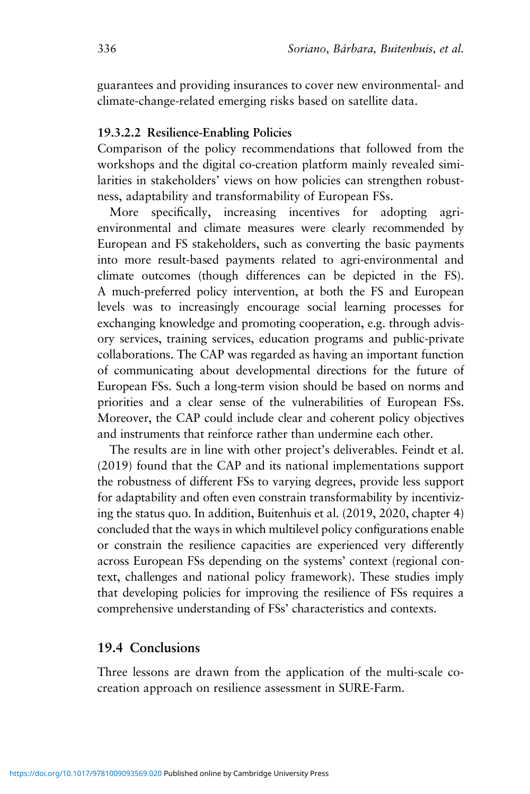guarantees and providing insurances to cover new environmental- and climate-change-related emerging risks based on satellite data.

#### **19.3.2.2 Resilience-Enabling Policies**

Comparison of the policy recommendations that followed from the workshops and the digital co-creation platform mainly revealed similarities in stakeholders' views on how policies can strengthen robustness, adaptability and transformability of European FSs.

More specifically, increasing incentives for adopting agrienvironmental and climate measures were clearly recommended by European and FS stakeholders, such as converting the basic payments into more result-based payments related to agri-environmental and climate outcomes (though differences can be depicted in the FS). A much-preferred policy intervention, at both the FS and European levels was to increasingly encourage social learning processes for exchanging knowledge and promoting cooperation, e.g. through advisory services, training services, education programs and public-private collaborations. The CAP was regarded as having an important function of communicating about developmental directions for the future of European FSs. Such a long-term vision should be based on norms and priorities and a clear sense of the vulnerabilities of European FSs. Moreover, the CAP could include clear and coherent policy objectives and instruments that reinforce rather than undermine each other.

The results are in line with other project's deliverables. Feindt et al. (2019) found that the CAP and its national implementations support the robustness of different FSs to varying degrees, provide less support for adaptability and often even constrain transformability by incentivizing the status quo. In addition, Buitenhuis et al. (2019, 2020, chapter 4) concluded that the ways in which multilevel policy configurations enable or constrain the resilience capacities are experienced very differently across European FSs depending on the systems' context (regional context, challenges and national policy framework). These studies imply that developing policies for improving the resilience of FSs requires a comprehensive understanding of FSs' characteristics and contexts.

### **19.4 Conclusions**

Three lessons are drawn from the application of the multi-scale cocreation approach on resilience assessment in SURE-Farm.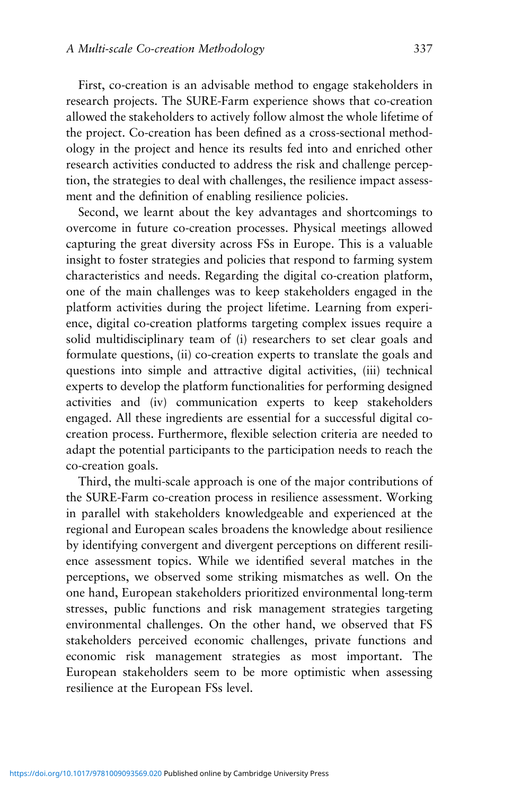First, co-creation is an advisable method to engage stakeholders in research projects. The SURE-Farm experience shows that co-creation allowed the stakeholders to actively follow almost the whole lifetime of the project. Co-creation has been defined as a cross-sectional methodology in the project and hence its results fed into and enriched other research activities conducted to address the risk and challenge perception, the strategies to deal with challenges, the resilience impact assessment and the definition of enabling resilience policies.

Second, we learnt about the key advantages and shortcomings to overcome in future co-creation processes. Physical meetings allowed capturing the great diversity across FSs in Europe. This is a valuable insight to foster strategies and policies that respond to farming system characteristics and needs. Regarding the digital co-creation platform, one of the main challenges was to keep stakeholders engaged in the platform activities during the project lifetime. Learning from experience, digital co-creation platforms targeting complex issues require a solid multidisciplinary team of (i) researchers to set clear goals and formulate questions, (ii) co-creation experts to translate the goals and questions into simple and attractive digital activities, (iii) technical experts to develop the platform functionalities for performing designed activities and (iv) communication experts to keep stakeholders engaged. All these ingredients are essential for a successful digital cocreation process. Furthermore, flexible selection criteria are needed to adapt the potential participants to the participation needs to reach the co-creation goals.

Third, the multi-scale approach is one of the major contributions of the SURE-Farm co-creation process in resilience assessment. Working in parallel with stakeholders knowledgeable and experienced at the regional and European scales broadens the knowledge about resilience by identifying convergent and divergent perceptions on different resilience assessment topics. While we identified several matches in the perceptions, we observed some striking mismatches as well. On the one hand, European stakeholders prioritized environmental long-term stresses, public functions and risk management strategies targeting environmental challenges. On the other hand, we observed that FS stakeholders perceived economic challenges, private functions and economic risk management strategies as most important. The European stakeholders seem to be more optimistic when assessing resilience at the European FSs level.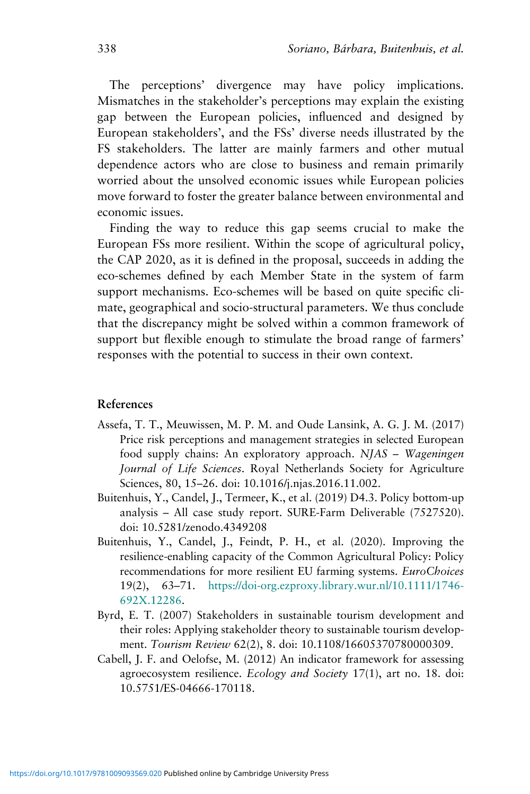The perceptions' divergence may have policy implications. Mismatches in the stakeholder's perceptions may explain the existing gap between the European policies, influenced and designed by European stakeholders', and the FSs' diverse needs illustrated by the FS stakeholders. The latter are mainly farmers and other mutual dependence actors who are close to business and remain primarily worried about the unsolved economic issues while European policies move forward to foster the greater balance between environmental and economic issues.

Finding the way to reduce this gap seems crucial to make the European FSs more resilient. Within the scope of agricultural policy, the CAP 2020, as it is defined in the proposal, succeeds in adding the eco-schemes defined by each Member State in the system of farm support mechanisms. Eco-schemes will be based on quite specific climate, geographical and socio-structural parameters. We thus conclude that the discrepancy might be solved within a common framework of support but flexible enough to stimulate the broad range of farmers' responses with the potential to success in their own context.

#### **References**

- Assefa, T. T., Meuwissen, M. P. M. and Oude Lansink, A. G. J. M. (2017) Price risk perceptions and management strategies in selected European food supply chains: An exploratory approach. *NJAS – Wageningen Journal of Life Sciences*. Royal Netherlands Society for Agriculture Sciences, 80, 15–26. doi: 10.1016/j.njas.2016.11.002.
- Buitenhuis, Y., Candel, J., Termeer, K., et al. (2019) D4.3. Policy bottom-up analysis – All case study report. SURE-Farm Deliverable (7527520). doi: 10.5281/zenodo.4349208
- Buitenhuis, Y., Candel, J., Feindt, P. H., et al. (2020). Improving the resilience-enabling capacity of the Common Agricultural Policy: Policy recommendations for more resilient EU farming systems. *EuroChoices* 19(2), 63–71. [https://doi-org.ezproxy.library.wur.nl/10.1111/1746-](https://doi-org.ezproxy.library.wur.nl/10.1111/1746-692X.12286) [692X.12286](https://doi-org.ezproxy.library.wur.nl/10.1111/1746-692X.12286).
- Byrd, E. T. (2007) Stakeholders in sustainable tourism development and their roles: Applying stakeholder theory to sustainable tourism development. *Tourism Review* 62(2), 8. doi: 10.1108/16605370780000309.
- Cabell, J. F. and Oelofse, M. (2012) An indicator framework for assessing agroecosystem resilience. *Ecology and Society* 17(1), art no. 18. doi: 10.5751/ES-04666-170118.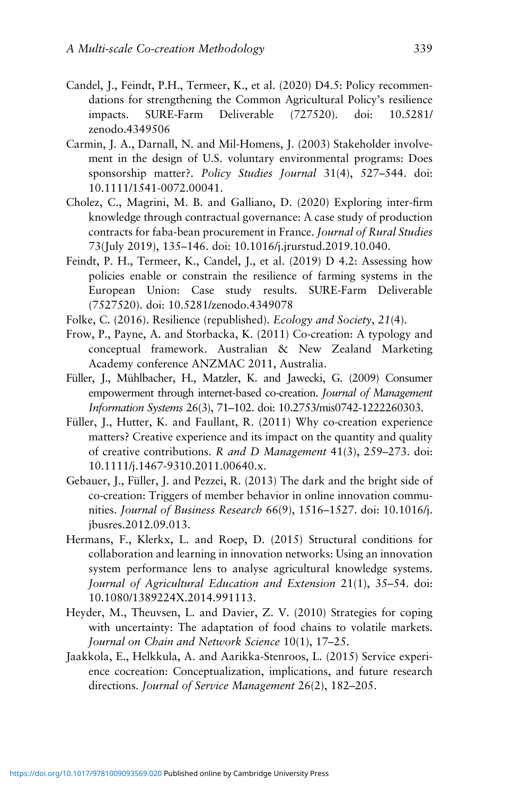- Candel, J., Feindt, P.H., Termeer, K., et al. (2020) D4.5: Policy recommendations for strengthening the Common Agricultural Policy's resilience impacts. SURE-Farm Deliverable (727520). doi: 10.5281/ zenodo.4349506
- Carmin, J. A., Darnall, N. and Mil-Homens, J. (2003) Stakeholder involvement in the design of U.S. voluntary environmental programs: Does sponsorship matter?. *Policy Studies Journal* 31(4), 527–544. doi: 10.1111/1541-0072.00041.
- Cholez, C., Magrini, M. B. and Galliano, D. (2020) Exploring inter-firm knowledge through contractual governance: A case study of production contracts for faba-bean procurement in France. *Journal of Rural Studies* 73(July 2019), 135–146. doi: 10.1016/j.jrurstud.2019.10.040.
- Feindt, P. H., Termeer, K., Candel, J., et al. (2019) D 4.2: Assessing how policies enable or constrain the resilience of farming systems in the European Union: Case study results. SURE-Farm Deliverable (7527520). doi: 10.5281/zenodo.4349078
- Folke, C. (2016). Resilience (republished). *Ecology and Society*, *21*(4).
- Frow, P., Payne, A. and Storbacka, K. (2011) Co-creation: A typology and conceptual framework. Australian & New Zealand Marketing Academy conference ANZMAC 2011, Australia.
- Füller, J., Mühlbacher, H., Matzler, K. and Jawecki, G. (2009) Consumer empowerment through internet-based co-creation. *Journal of Management Information Systems* 26(3), 71–102. doi: 10.2753/mis0742-1222260303.
- Füller, J., Hutter, K. and Faullant, R. (2011) Why co-creation experience matters? Creative experience and its impact on the quantity and quality of creative contributions. *R and D Management* 41(3), 259–273. doi: 10.1111/j.1467-9310.2011.00640.x.
- Gebauer, J., Füller, J. and Pezzei, R. (2013) The dark and the bright side of co-creation: Triggers of member behavior in online innovation communities. *Journal of Business Research* 66(9), 1516–1527. doi: 10.1016/j. jbusres.2012.09.013.
- Hermans, F., Klerkx, L. and Roep, D. (2015) Structural conditions for collaboration and learning in innovation networks: Using an innovation system performance lens to analyse agricultural knowledge systems. *Journal of Agricultural Education and Extension* 21(1), 35–54. doi: 10.1080/1389224X.2014.991113.
- Heyder, M., Theuvsen, L. and Davier, Z. V. (2010) Strategies for coping with uncertainty: The adaptation of food chains to volatile markets. *Journal on Chain and Network Science* 10(1), 17–25.
- Jaakkola, E., Helkkula, A. and Aarikka-Stenroos, L. (2015) Service experience cocreation: Conceptualization, implications, and future research directions. *Journal of Service Management* 26(2), 182–205.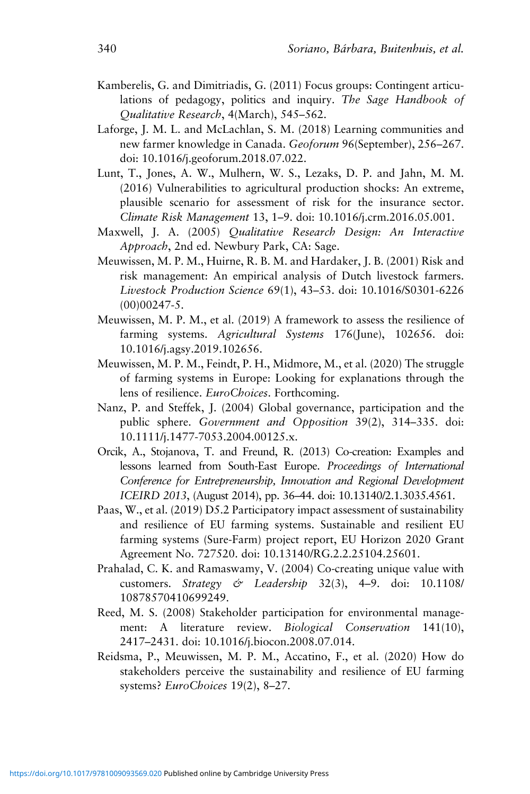- Kamberelis, G. and Dimitriadis, G. (2011) Focus groups: Contingent articulations of pedagogy, politics and inquiry. *The Sage Handbook of Qualitative Research*, 4(March), 545–562.
- Laforge, J. M. L. and McLachlan, S. M. (2018) Learning communities and new farmer knowledge in Canada. *Geoforum* 96(September), 256–267. doi: 10.1016/j.geoforum.2018.07.022.
- Lunt, T., Jones, A. W., Mulhern, W. S., Lezaks, D. P. and Jahn, M. M. (2016) Vulnerabilities to agricultural production shocks: An extreme, plausible scenario for assessment of risk for the insurance sector. *Climate Risk Management* 13, 1–9. doi: 10.1016/j.crm.2016.05.001.
- Maxwell, J. A. (2005) *Qualitative Research Design: An Interactive Approach*, 2nd ed. Newbury Park, CA: Sage.
- Meuwissen, M. P. M., Huirne, R. B. M. and Hardaker, J. B. (2001) Risk and risk management: An empirical analysis of Dutch livestock farmers. *Livestock Production Science* 69(1), 43–53. doi: 10.1016/S0301-6226 (00)00247-5.
- Meuwissen, M. P. M., et al. (2019) A framework to assess the resilience of farming systems. *Agricultural Systems* 176(June), 102656. doi: 10.1016/j.agsy.2019.102656.
- Meuwissen, M. P. M., Feindt, P. H., Midmore, M., et al. (2020) The struggle of farming systems in Europe: Looking for explanations through the lens of resilience. *EuroChoices*. Forthcoming.
- Nanz, P. and Steffek, J. (2004) Global governance, participation and the public sphere. *Government and Opposition* 39(2), 314–335. doi: 10.1111/j.1477-7053.2004.00125.x.
- Orcik, A., Stojanova, T. and Freund, R. (2013) Co-creation: Examples and lessons learned from South-East Europe. *Proceedings of International Conference for Entrepreneurship, Innovation and Regional Development ICEIRD 2013*, (August 2014), pp. 36–44. doi: 10.13140/2.1.3035.4561.
- Paas, W., et al. (2019) D5.2 Participatory impact assessment of sustainability and resilience of EU farming systems. Sustainable and resilient EU farming systems (Sure-Farm) project report, EU Horizon 2020 Grant Agreement No. 727520. doi: 10.13140/RG.2.2.25104.25601.
- Prahalad, C. K. and Ramaswamy, V. (2004) Co-creating unique value with customers. *Strategy & Leadership* 32(3), 4–9. doi: 10.1108/ 10878570410699249.
- Reed, M. S. (2008) Stakeholder participation for environmental management: A literature review. *Biological Conservation* 141(10), 2417–2431. doi: 10.1016/j.biocon.2008.07.014.
- Reidsma, P., Meuwissen, M. P. M., Accatino, F., et al. (2020) How do stakeholders perceive the sustainability and resilience of EU farming systems? *EuroChoices* 19(2), 8–27.